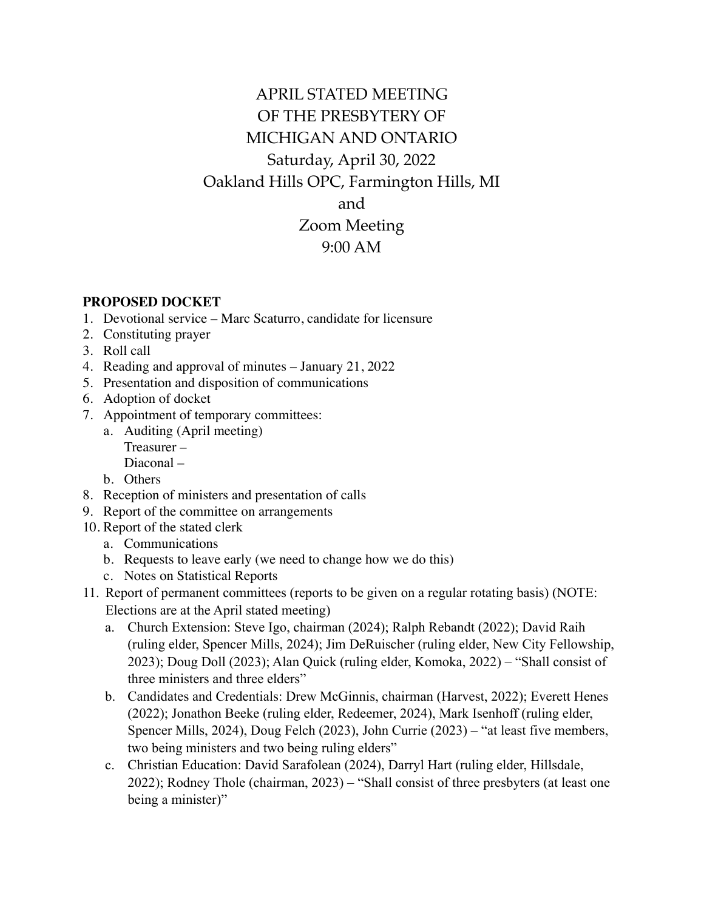# APRIL STATED MEETING OF THE PRESBYTERY OF MICHIGAN AND ONTARIO Saturday, April 30, 2022 Oakland Hills OPC, Farmington Hills, MI and Zoom Meeting 9:00 AM

#### **PROPOSED DOCKET**

- 1. Devotional service Marc Scaturro, candidate for licensure
- 2. Constituting prayer
- 3. Roll call
- 4. Reading and approval of minutes January 21, 2022
- 5. Presentation and disposition of communications
- 6. Adoption of docket
- 7. Appointment of temporary committees:
	- a. Auditing (April meeting) Treasurer –
		- Diaconal –
	- b. Others
- 8. Reception of ministers and presentation of calls
- 9. Report of the committee on arrangements
- 10. Report of the stated clerk
	- a. Communications
	- b. Requests to leave early (we need to change how we do this)
	- c. Notes on Statistical Reports
- 11. Report of permanent committees (reports to be given on a regular rotating basis) (NOTE: Elections are at the April stated meeting)
	- a. Church Extension: Steve Igo, chairman (2024); Ralph Rebandt (2022); David Raih (ruling elder, Spencer Mills, 2024); Jim DeRuischer (ruling elder, New City Fellowship, 2023); Doug Doll (2023); Alan Quick (ruling elder, Komoka, 2022) – "Shall consist of three ministers and three elders"
	- b. Candidates and Credentials: Drew McGinnis, chairman (Harvest, 2022); Everett Henes (2022); Jonathon Beeke (ruling elder, Redeemer, 2024), Mark Isenhoff (ruling elder, Spencer Mills, 2024), Doug Felch (2023), John Currie (2023) – "at least five members, two being ministers and two being ruling elders"
	- c. Christian Education: David Sarafolean (2024), Darryl Hart (ruling elder, Hillsdale, 2022); Rodney Thole (chairman, 2023) – "Shall consist of three presbyters (at least one being a minister)"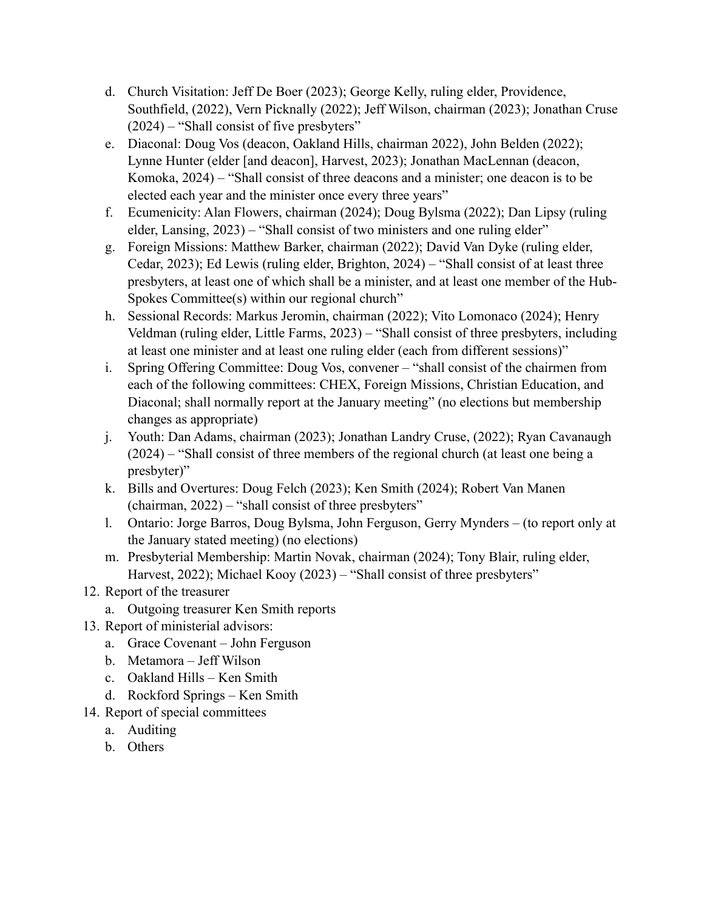- d. Church Visitation: Jeff De Boer (2023); George Kelly, ruling elder, Providence, Southfield, (2022), Vern Picknally (2022); Jeff Wilson, chairman (2023); Jonathan Cruse (2024) – "Shall consist of five presbyters"
- e. Diaconal: Doug Vos (deacon, Oakland Hills, chairman 2022), John Belden (2022); Lynne Hunter (elder [and deacon], Harvest, 2023); Jonathan MacLennan (deacon, Komoka, 2024) – "Shall consist of three deacons and a minister; one deacon is to be elected each year and the minister once every three years"
- f. Ecumenicity: Alan Flowers, chairman (2024); Doug Bylsma (2022); Dan Lipsy (ruling elder, Lansing, 2023) – "Shall consist of two ministers and one ruling elder"
- g. Foreign Missions: Matthew Barker, chairman (2022); David Van Dyke (ruling elder, Cedar, 2023); Ed Lewis (ruling elder, Brighton, 2024) – "Shall consist of at least three presbyters, at least one of which shall be a minister, and at least one member of the Hub-Spokes Committee(s) within our regional church"
- h. Sessional Records: Markus Jeromin, chairman (2022); Vito Lomonaco (2024); Henry Veldman (ruling elder, Little Farms, 2023) – "Shall consist of three presbyters, including at least one minister and at least one ruling elder (each from different sessions)"
- i. Spring Offering Committee: Doug Vos, convener "shall consist of the chairmen from each of the following committees: CHEX, Foreign Missions, Christian Education, and Diaconal; shall normally report at the January meeting" (no elections but membership changes as appropriate)
- j. Youth: Dan Adams, chairman (2023); Jonathan Landry Cruse, (2022); Ryan Cavanaugh (2024) – "Shall consist of three members of the regional church (at least one being a presbyter)"
- k. Bills and Overtures: Doug Felch (2023); Ken Smith (2024); Robert Van Manen (chairman, 2022) – "shall consist of three presbyters"
- l. Ontario: Jorge Barros, Doug Bylsma, John Ferguson, Gerry Mynders (to report only at the January stated meeting) (no elections)
- m. Presbyterial Membership: Martin Novak, chairman (2024); Tony Blair, ruling elder, Harvest, 2022); Michael Kooy (2023) – "Shall consist of three presbyters"
- 12. Report of the treasurer
	- a. Outgoing treasurer Ken Smith reports
- 13. Report of ministerial advisors:
	- a. Grace Covenant John Ferguson
	- b. Metamora Jeff Wilson
	- c. Oakland Hills Ken Smith
	- d. Rockford Springs Ken Smith
- 14. Report of special committees
	- a. Auditing
	- b. Others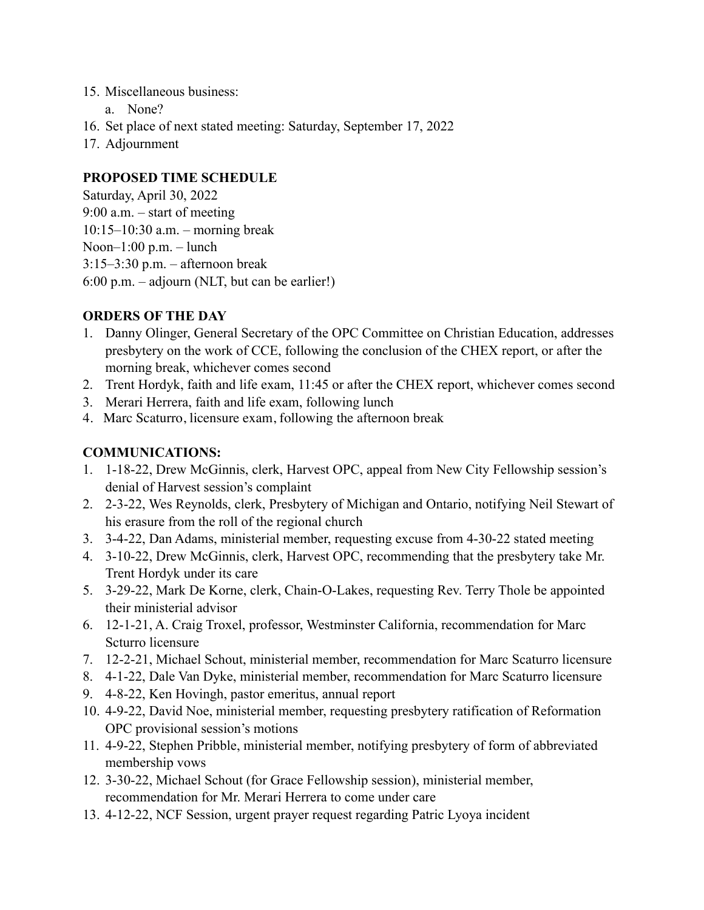- 15. Miscellaneous business:
	- a. None?
- 16. Set place of next stated meeting: Saturday, September 17, 2022
- 17. Adjournment

### **PROPOSED TIME SCHEDULE**

Saturday, April 30, 2022 9:00 a.m. – start of meeting 10:15–10:30 a.m. – morning break Noon–1:00 p.m. – lunch 3:15–3:30 p.m. – afternoon break 6:00 p.m. – adjourn (NLT, but can be earlier!)

## **ORDERS OF THE DAY**

- 1. Danny Olinger, General Secretary of the OPC Committee on Christian Education, addresses presbytery on the work of CCE, following the conclusion of the CHEX report, or after the morning break, whichever comes second
- 2. Trent Hordyk, faith and life exam, 11:45 or after the CHEX report, whichever comes second
- 3. Merari Herrera, faith and life exam, following lunch
- 4. Marc Scaturro, licensure exam, following the afternoon break

## **COMMUNICATIONS:**

- 1. 1-18-22, Drew McGinnis, clerk, Harvest OPC, appeal from New City Fellowship session's denial of Harvest session's complaint
- 2. 2-3-22, Wes Reynolds, clerk, Presbytery of Michigan and Ontario, notifying Neil Stewart of his erasure from the roll of the regional church
- 3. 3-4-22, Dan Adams, ministerial member, requesting excuse from 4-30-22 stated meeting
- 4. 3-10-22, Drew McGinnis, clerk, Harvest OPC, recommending that the presbytery take Mr. Trent Hordyk under its care
- 5. 3-29-22, Mark De Korne, clerk, Chain-O-Lakes, requesting Rev. Terry Thole be appointed their ministerial advisor
- 6. 12-1-21, A. Craig Troxel, professor, Westminster California, recommendation for Marc Scturro licensure
- 7. 12-2-21, Michael Schout, ministerial member, recommendation for Marc Scaturro licensure
- 8. 4-1-22, Dale Van Dyke, ministerial member, recommendation for Marc Scaturro licensure
- 9. 4-8-22, Ken Hovingh, pastor emeritus, annual report
- 10. 4-9-22, David Noe, ministerial member, requesting presbytery ratification of Reformation OPC provisional session's motions
- 11. 4-9-22, Stephen Pribble, ministerial member, notifying presbytery of form of abbreviated membership vows
- 12. 3-30-22, Michael Schout (for Grace Fellowship session), ministerial member, recommendation for Mr. Merari Herrera to come under care
- 13. 4-12-22, NCF Session, urgent prayer request regarding Patric Lyoya incident